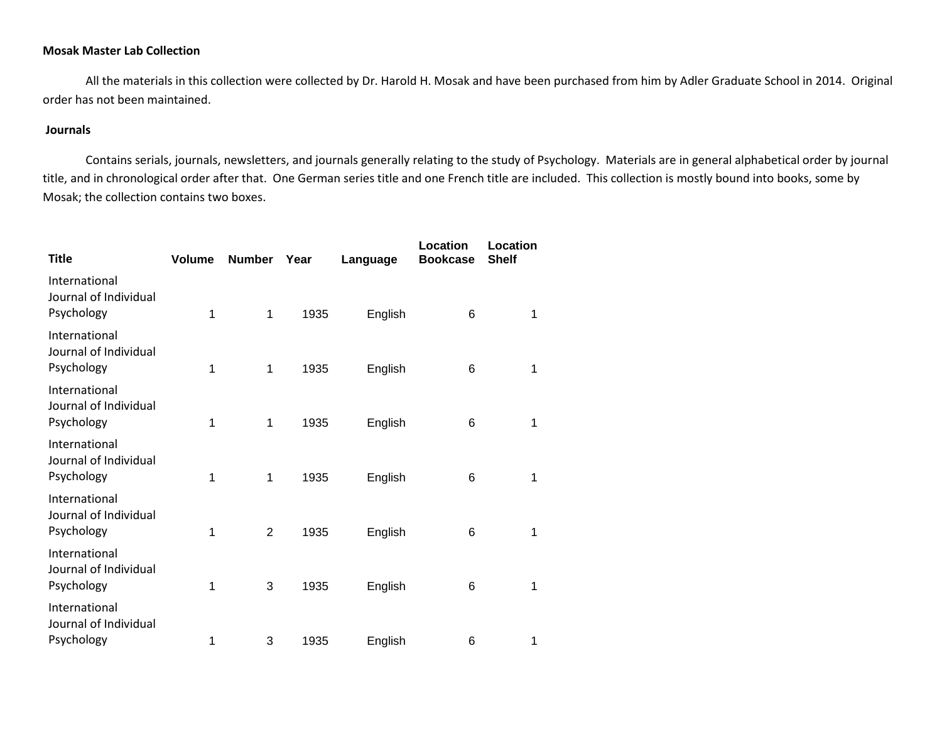## **Mosak Master Lab Collection**

All the materials in this collection were collected by Dr. Harold H. Mosak and have been purchased from him by Adler Graduate School in 2014. Original order has not been maintained.

## **Journals**

Contains serials, journals, newsletters, and journals generally relating to the study of Psychology. Materials are in general alphabetical order by journal title, and in chronological order after that. One German series title and one French title are included. This collection is mostly bound into books, some by Mosak; the collection contains two boxes.

| <b>Title</b>                                         | <b>Volume</b> | <b>Number</b>  | Year | Language | Location<br><b>Bookcase</b> | Location<br><b>Shelf</b> |  |
|------------------------------------------------------|---------------|----------------|------|----------|-----------------------------|--------------------------|--|
| International<br>Journal of Individual<br>Psychology | 1             | 1              | 1935 | English  | 6                           | 1                        |  |
| International<br>Journal of Individual<br>Psychology | 1             | 1              | 1935 | English  | 6                           | 1                        |  |
| International<br>Journal of Individual<br>Psychology | 1             | 1              | 1935 | English  | 6                           | 1                        |  |
| International<br>Journal of Individual<br>Psychology | 1             | 1              | 1935 | English  | 6                           | 1                        |  |
| International<br>Journal of Individual<br>Psychology | 1             | $\overline{2}$ | 1935 | English  | 6                           | 1                        |  |
| International<br>Journal of Individual<br>Psychology | 1             | 3              | 1935 | English  | 6                           | 1                        |  |
| International<br>Journal of Individual<br>Psychology | 1             | 3              | 1935 | English  | 6                           | 1                        |  |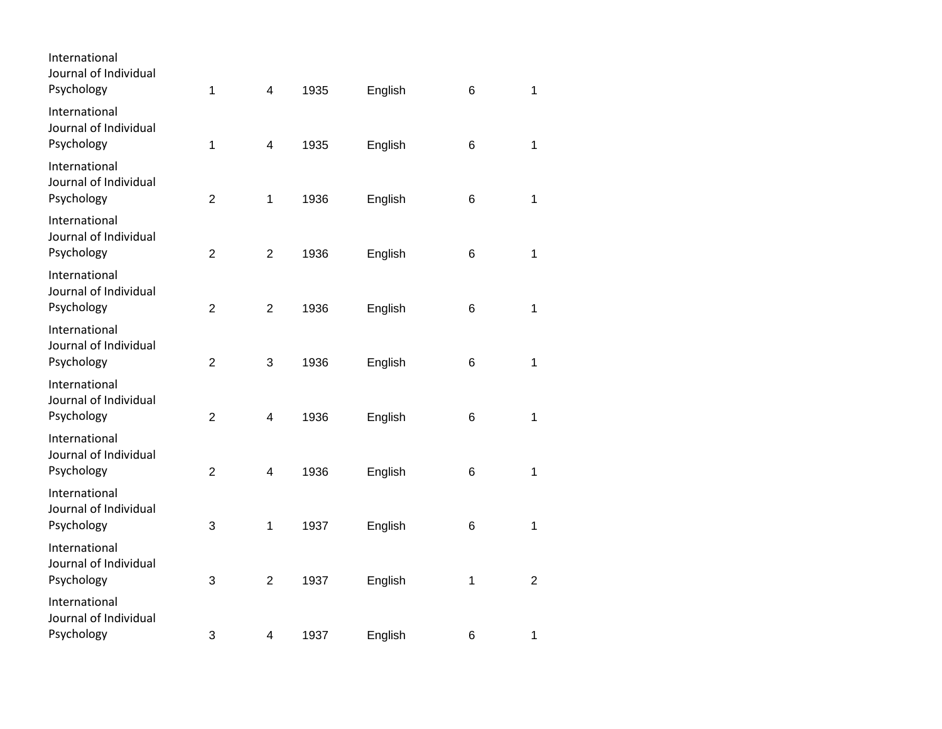| International<br>Journal of Individual<br>Psychology | 1                | $\overline{\mathbf{4}}$ | 1935 | English | 6 | 1              |
|------------------------------------------------------|------------------|-------------------------|------|---------|---|----------------|
| International<br>Journal of Individual<br>Psychology | 1                | $\overline{\mathbf{4}}$ | 1935 | English | 6 | 1              |
| International<br>Journal of Individual<br>Psychology | $\overline{2}$   | $\mathbf 1$             | 1936 | English | 6 | 1              |
| International<br>Journal of Individual<br>Psychology | $\overline{2}$   | $\overline{2}$          | 1936 | English | 6 | $\mathbf{1}$   |
| International<br>Journal of Individual<br>Psychology | $\boldsymbol{2}$ | $\overline{2}$          | 1936 | English | 6 | $\mathbf{1}$   |
| International<br>Journal of Individual<br>Psychology | $\overline{2}$   | 3                       | 1936 | English | 6 | 1              |
| International<br>Journal of Individual<br>Psychology | $\overline{2}$   | 4                       | 1936 | English | 6 | 1              |
| International<br>Journal of Individual<br>Psychology | $\overline{2}$   | 4                       | 1936 | English | 6 | 1              |
| International<br>Journal of Individual<br>Psychology | 3                | $\mathbf 1$             | 1937 | English | 6 | 1              |
| International<br>Journal of Individual<br>Psychology | 3                | $\overline{2}$          | 1937 | English | 1 | $\overline{2}$ |
| International<br>Journal of Individual<br>Psychology | 3                | 4                       | 1937 | English | 6 | 1              |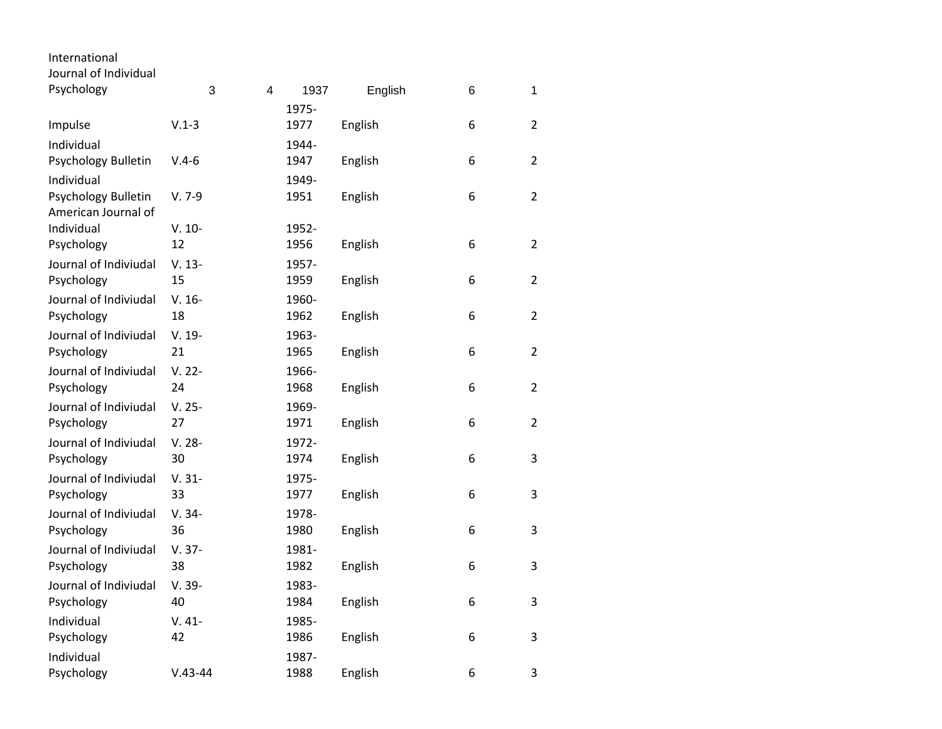| International<br>Journal of Individual     |                 |   |               |         |   |                |
|--------------------------------------------|-----------------|---|---------------|---------|---|----------------|
| Psychology                                 | 3               | 4 | 1937          | English | 6 | 1              |
|                                            |                 |   | 1975-         |         |   |                |
| Impulse                                    | $V.1-3$         |   | 1977          | English | 6 | 2              |
| Individual                                 |                 |   | 1944-         |         |   |                |
| Psychology Bulletin                        | $V.4-6$         |   | 1947          | English | 6 | $\overline{2}$ |
| Individual                                 |                 |   | 1949-         |         |   |                |
| Psychology Bulletin<br>American Journal of | $V. 7-9$        |   | 1951          | English | 6 | 2              |
| Individual                                 | $V. 10-$        |   | 1952-         |         |   |                |
| Psychology                                 | 12              |   | 1956          | English | 6 | $\overline{2}$ |
| Journal of Indiviudal                      | $V. 13-$        |   | 1957-         |         |   |                |
| Psychology                                 | 15              |   | 1959          | English | 6 | $\overline{2}$ |
| Journal of Indiviudal                      | $V. 16-$        |   | 1960-         |         |   |                |
| Psychology                                 | 18              |   | 1962          | English | 6 | $\overline{2}$ |
| Journal of Indiviudal                      | $V. 19-$        |   | 1963-         |         |   |                |
| Psychology                                 | 21              |   | 1965          | English | 6 | $\overline{2}$ |
| Journal of Indiviudal                      | $V. 22 -$       |   | 1966-         |         |   |                |
| Psychology                                 | 24              |   | 1968          | English | 6 | $\overline{2}$ |
| Journal of Indiviudal<br>Psychology        | $V. 25 -$<br>27 |   | 1969-<br>1971 | English | 6 | $\overline{2}$ |
| Journal of Indiviudal                      |                 |   |               |         |   |                |
| Psychology                                 | $V. 28 -$<br>30 |   | 1972-<br>1974 | English | 6 | 3              |
| Journal of Indiviudal                      | $V. 31 -$       |   | 1975-         |         |   |                |
| Psychology                                 | 33              |   | 1977          | English | 6 | 3              |
| Journal of Indiviudal                      | $V. 34-$        |   | 1978-         |         |   |                |
| Psychology                                 | 36              |   | 1980          | English | 6 | 3              |
| Journal of Indiviudal                      | $V. 37-$        |   | 1981-         |         |   |                |
| Psychology                                 | 38              |   | 1982          | English | 6 | 3              |
| Journal of Indiviudal                      | V. 39-          |   | 1983-         |         |   |                |
| Psychology                                 | 40              |   | 1984          | English | 6 | 3              |
| Individual                                 | $V.41-$         |   | 1985-         |         |   |                |
| Psychology                                 | 42              |   | 1986          | English | 6 | 3              |
| Individual                                 |                 |   | 1987-         |         |   |                |
| Psychology                                 | $V.43 - 44$     |   | 1988          | English | 6 | 3              |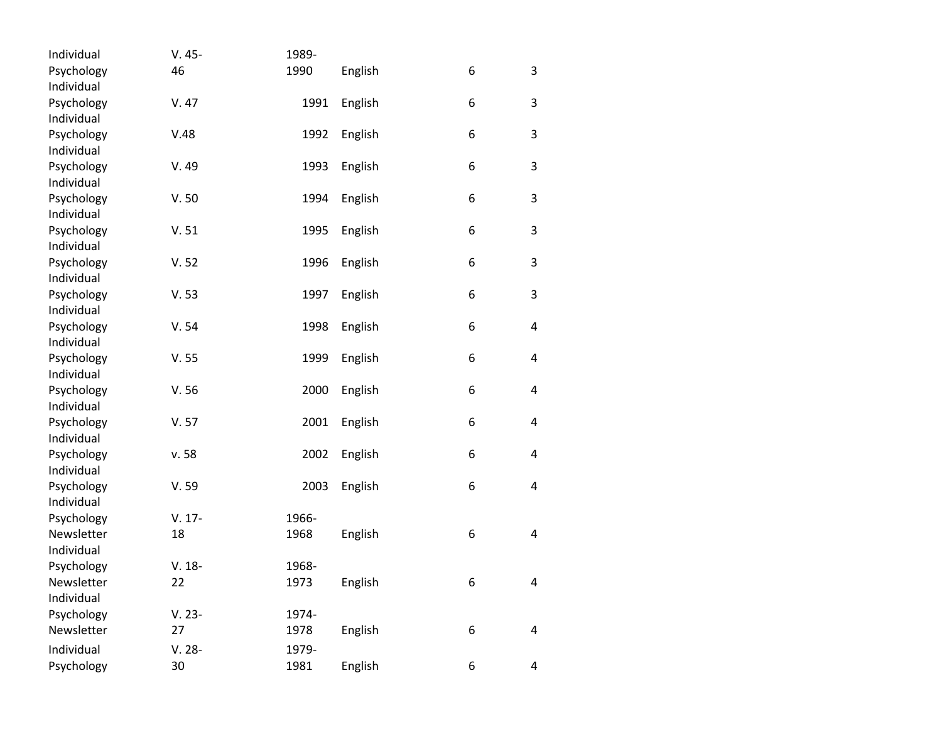| Individual               | $V.45-$   | 1989- |         |   |             |
|--------------------------|-----------|-------|---------|---|-------------|
| Psychology               | 46        | 1990  | English | 6 | 3           |
| Individual               |           |       |         |   |             |
| Psychology               | V.47      | 1991  | English | 6 | 3           |
| Individual               |           |       |         |   |             |
| Psychology               | V.48      | 1992  | English | 6 | 3           |
| Individual               |           |       |         |   |             |
| Psychology               | V.49      | 1993  | English | 6 | 3           |
| Individual               |           |       |         |   |             |
| Psychology               | V.50      | 1994  | English | 6 | $\mathsf 3$ |
| Individual               |           |       |         |   |             |
| Psychology               | V.51      | 1995  | English | 6 | $\mathsf 3$ |
| Individual               |           |       |         |   |             |
| Psychology               | V.52      | 1996  | English | 6 | 3           |
| Individual               |           |       |         |   |             |
| Psychology               | V.53      | 1997  | English | 6 | 3           |
| Individual               |           |       |         |   |             |
| Psychology               | V.54      | 1998  | English | 6 | 4           |
| Individual               |           |       |         |   |             |
| Psychology               | V.55      | 1999  | English | 6 | 4           |
| Individual               |           |       |         |   |             |
| Psychology               | V.56      | 2000  | English | 6 | 4           |
| Individual               |           |       |         |   |             |
| Psychology               | V.57      | 2001  | English | 6 | 4           |
| Individual               |           |       |         |   |             |
| Psychology               | v. 58     | 2002  | English | 6 | 4           |
| Individual               |           |       |         |   |             |
| Psychology               | V.59      | 2003  | English | 6 | 4           |
| Individual               | $V. 17-$  | 1966- |         |   |             |
| Psychology<br>Newsletter | 18        |       |         |   | 4           |
| Individual               |           | 1968  | English | 6 |             |
| Psychology               | $V. 18-$  | 1968- |         |   |             |
| Newsletter               | 22        | 1973  | English | 6 |             |
| Individual               |           |       |         |   | 4           |
| Psychology               | $V. 23-$  | 1974- |         |   |             |
| Newsletter               | 27        | 1978  | English | 6 | 4           |
|                          |           |       |         |   |             |
| Individual               | $V. 28 -$ | 1979- |         |   |             |
| Psychology               | 30        | 1981  | English | 6 | 4           |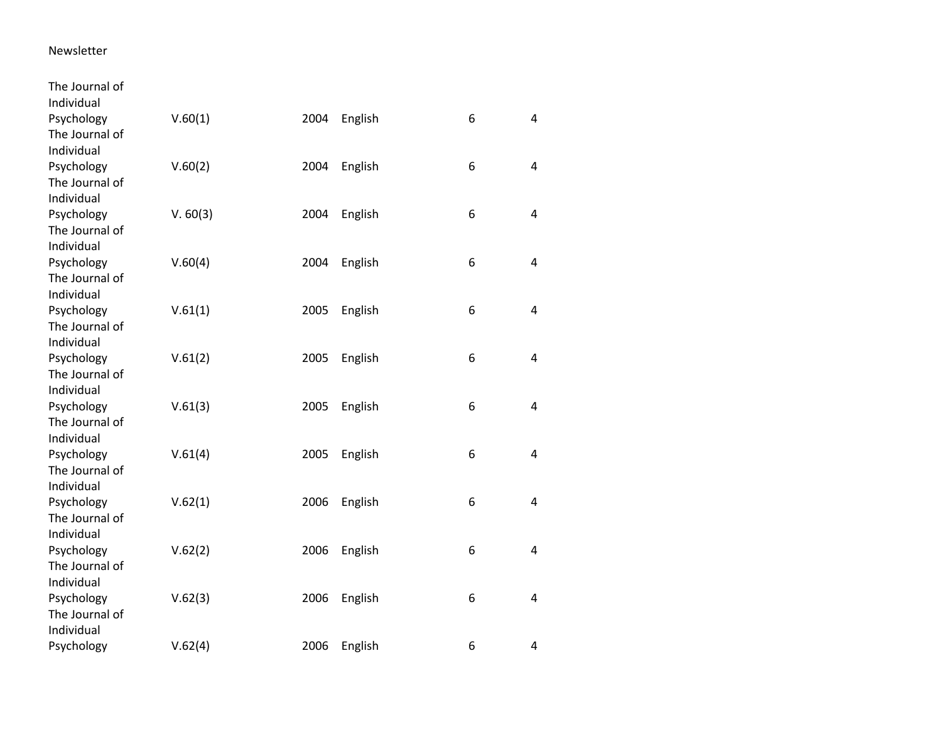## Newsletter

| The Journal of |          |      |         |   |                |
|----------------|----------|------|---------|---|----------------|
| Individual     |          |      |         |   |                |
| Psychology     | V.60(1)  | 2004 | English | 6 | $\overline{4}$ |
| The Journal of |          |      |         |   |                |
| Individual     |          |      |         |   |                |
| Psychology     | V.60(2)  | 2004 | English | 6 | 4              |
| The Journal of |          |      |         |   |                |
| Individual     |          |      |         |   |                |
| Psychology     | V. 60(3) | 2004 | English | 6 | $\overline{4}$ |
| The Journal of |          |      |         |   |                |
| Individual     |          |      |         |   |                |
| Psychology     | V.60(4)  | 2004 | English | 6 | $\overline{4}$ |
| The Journal of |          |      |         |   |                |
| Individual     |          |      |         |   |                |
| Psychology     | V.61(1)  | 2005 | English | 6 | $\overline{4}$ |
| The Journal of |          |      |         |   |                |
| Individual     |          |      |         |   |                |
| Psychology     | V.61(2)  | 2005 | English | 6 | $\overline{4}$ |
| The Journal of |          |      |         |   |                |
| Individual     |          |      |         |   |                |
| Psychology     | V.61(3)  | 2005 | English | 6 | $\overline{4}$ |
| The Journal of |          |      |         |   |                |
| Individual     |          |      |         |   |                |
| Psychology     | V.61(4)  | 2005 | English | 6 | $\overline{4}$ |
| The Journal of |          |      |         |   |                |
| Individual     |          |      |         |   |                |
| Psychology     | V.62(1)  | 2006 | English | 6 | 4              |
| The Journal of |          |      |         |   |                |
| Individual     |          |      |         |   |                |
| Psychology     | V.62(2)  | 2006 | English | 6 | 4              |
| The Journal of |          |      |         |   |                |
| Individual     |          |      |         |   |                |
| Psychology     | V.62(3)  | 2006 | English | 6 | $\overline{4}$ |
| The Journal of |          |      |         |   |                |
| Individual     |          |      |         |   |                |
| Psychology     | V.62(4)  | 2006 | English | 6 | $\overline{4}$ |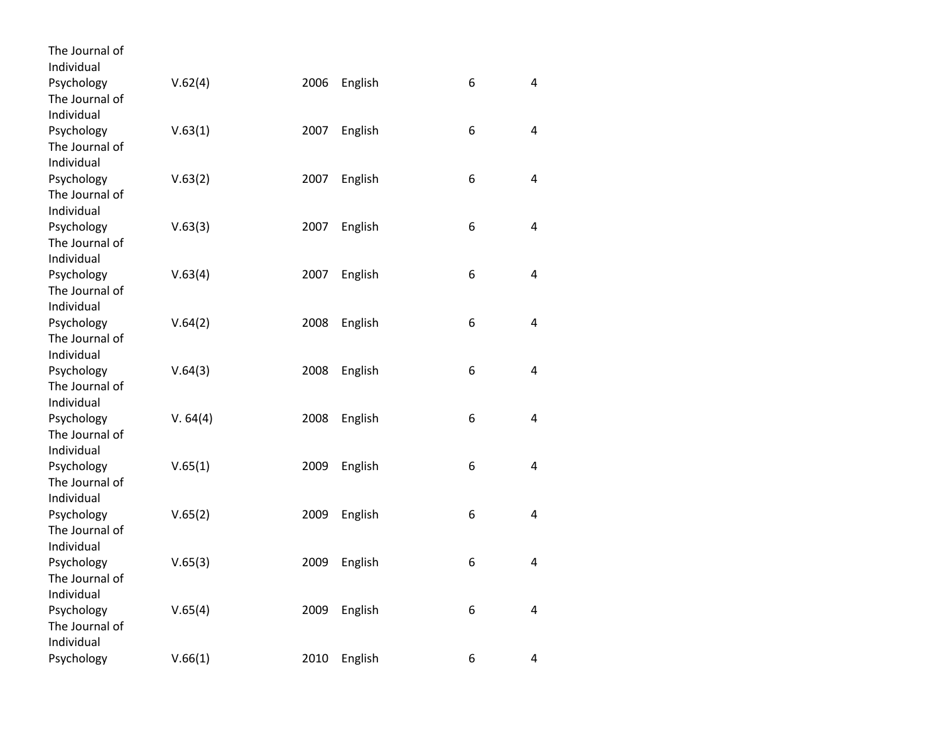| The Journal of               |          |      |         |   |                |
|------------------------------|----------|------|---------|---|----------------|
| Individual<br>Psychology     |          |      |         |   | 4              |
| The Journal of               | V.62(4)  | 2006 | English | 6 |                |
| Individual                   |          |      |         |   |                |
| Psychology                   | V.63(1)  | 2007 | English | 6 | 4              |
| The Journal of               |          |      |         |   |                |
| Individual                   |          |      |         |   |                |
|                              |          |      |         | 6 | 4              |
| Psychology<br>The Journal of | V.63(2)  | 2007 | English |   |                |
| Individual                   |          |      |         |   |                |
|                              |          | 2007 |         | 6 | 4              |
| Psychology<br>The Journal of | V.63(3)  |      | English |   |                |
| Individual                   |          |      |         |   |                |
| Psychology                   |          | 2007 | English | 6 | 4              |
| The Journal of               | V.63(4)  |      |         |   |                |
| Individual                   |          |      |         |   |                |
| Psychology                   | V.64(2)  | 2008 |         | 6 | 4              |
| The Journal of               |          |      | English |   |                |
| Individual                   |          |      |         |   |                |
|                              | V.64(3)  | 2008 |         | 6 | 4              |
| Psychology<br>The Journal of |          |      | English |   |                |
| Individual                   |          |      |         |   |                |
| Psychology                   | V. 64(4) | 2008 | English | 6 | 4              |
| The Journal of               |          |      |         |   |                |
| Individual                   |          |      |         |   |                |
| Psychology                   | V.65(1)  | 2009 | English | 6 | 4              |
| The Journal of               |          |      |         |   |                |
| Individual                   |          |      |         |   |                |
| Psychology                   | V.65(2)  | 2009 | English | 6 | 4              |
| The Journal of               |          |      |         |   |                |
| Individual                   |          |      |         |   |                |
| Psychology                   | V.65(3)  | 2009 | English | 6 | 4              |
| The Journal of               |          |      |         |   |                |
| Individual                   |          |      |         |   |                |
| Psychology                   | V.65(4)  | 2009 | English | 6 | $\overline{4}$ |
| The Journal of               |          |      |         |   |                |
| Individual                   |          |      |         |   |                |
| Psychology                   | V.66(1)  | 2010 | English | 6 | 4              |
|                              |          |      |         |   |                |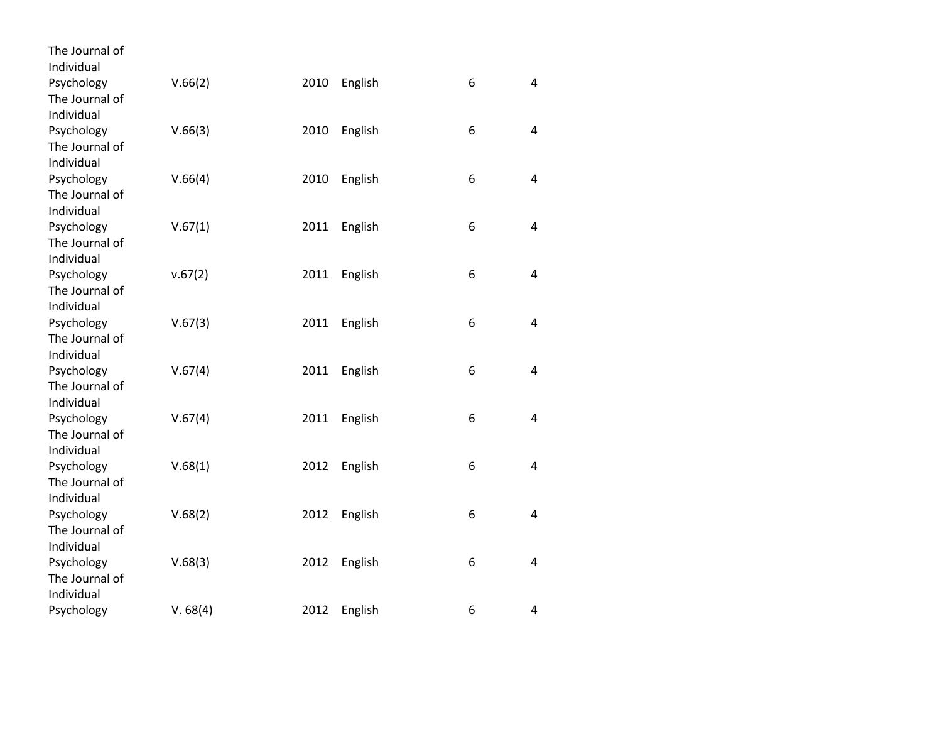| The Journal of           |          |      |         |   |                |
|--------------------------|----------|------|---------|---|----------------|
| Individual<br>Psychology |          | 2010 |         | 6 | 4              |
| The Journal of           | V.66(2)  |      | English |   |                |
| Individual               |          |      |         |   |                |
| Psychology               | V.66(3)  | 2010 | English | 6 | 4              |
| The Journal of           |          |      |         |   |                |
| Individual               |          |      |         |   |                |
| Psychology               | V.66(4)  | 2010 | English | 6 | $\overline{4}$ |
| The Journal of           |          |      |         |   |                |
| Individual               |          |      |         |   |                |
| Psychology               | V.67(1)  | 2011 | English | 6 | 4              |
| The Journal of           |          |      |         |   |                |
| Individual               |          |      |         |   |                |
| Psychology               | v.67(2)  | 2011 | English | 6 | 4              |
| The Journal of           |          |      |         |   |                |
| Individual               |          |      |         |   |                |
| Psychology               | V.67(3)  | 2011 | English | 6 | 4              |
| The Journal of           |          |      |         |   |                |
| Individual               |          |      |         |   |                |
| Psychology               | V.67(4)  | 2011 | English | 6 | 4              |
| The Journal of           |          |      |         |   |                |
| Individual               |          |      |         |   |                |
| Psychology               | V.67(4)  | 2011 | English | 6 | 4              |
| The Journal of           |          |      |         |   |                |
| Individual               |          |      |         |   |                |
| Psychology               | V.68(1)  | 2012 | English | 6 | 4              |
| The Journal of           |          |      |         |   |                |
| Individual               |          |      |         |   |                |
| Psychology               | V.68(2)  | 2012 | English | 6 | 4              |
| The Journal of           |          |      |         |   |                |
| Individual               |          |      |         |   |                |
| Psychology               | V.68(3)  | 2012 | English | 6 | 4              |
| The Journal of           |          |      |         |   |                |
| Individual               |          |      |         |   |                |
| Psychology               | V. 68(4) | 2012 | English | 6 | 4              |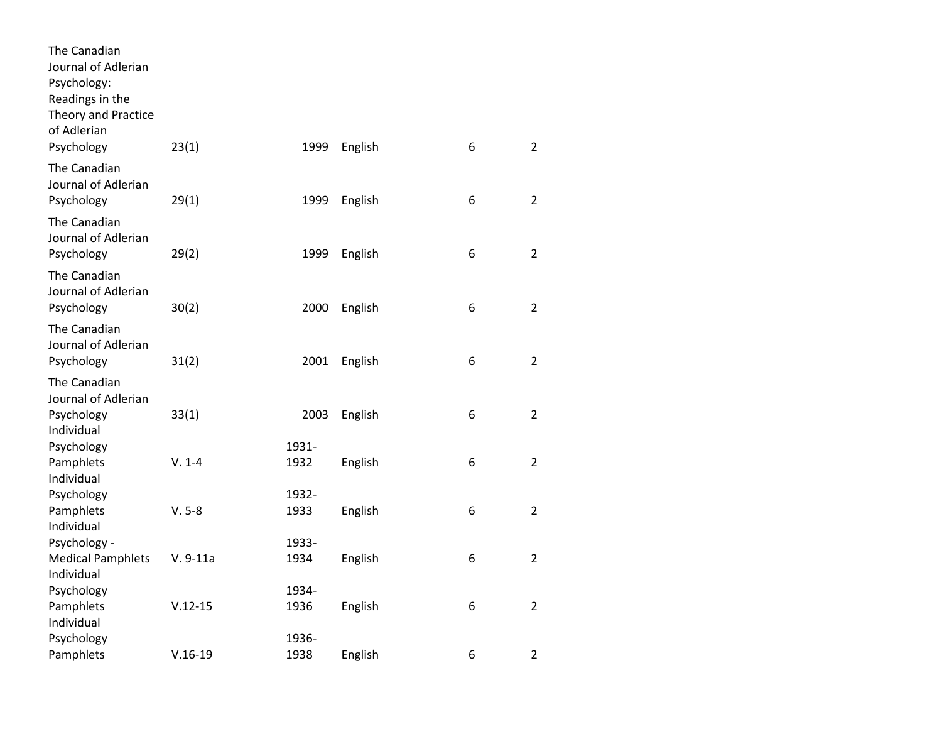| The Canadian<br>Journal of Adlerian<br>Psychology:<br>Readings in the<br>Theory and Practice<br>of Adlerian<br>Psychology | 23(1)       | 1999          | English | 6 | $\overline{2}$ |
|---------------------------------------------------------------------------------------------------------------------------|-------------|---------------|---------|---|----------------|
| The Canadian<br>Journal of Adlerian<br>Psychology                                                                         | 29(1)       | 1999          | English | 6 | $\overline{2}$ |
| The Canadian<br>Journal of Adlerian<br>Psychology                                                                         | 29(2)       | 1999          | English | 6 | $\overline{2}$ |
| The Canadian<br>Journal of Adlerian<br>Psychology                                                                         | 30(2)       | 2000          | English | 6 | $\overline{2}$ |
| The Canadian<br>Journal of Adlerian<br>Psychology                                                                         | 31(2)       | 2001          | English | 6 | $\overline{2}$ |
| The Canadian<br>Journal of Adlerian<br>Psychology                                                                         | 33(1)       | 2003          | English | 6 | $\overline{2}$ |
| Individual<br>Psychology<br>Pamphlets<br>Individual                                                                       | $V. 1-4$    | 1931-<br>1932 | English | 6 | $\overline{2}$ |
| Psychology<br>Pamphlets<br>Individual                                                                                     | $V. 5-8$    | 1932-<br>1933 | English | 6 | $\overline{2}$ |
| Psychology -<br><b>Medical Pamphlets</b><br>Individual                                                                    | $V. 9-11a$  | 1933-<br>1934 | English | 6 | $\overline{2}$ |
| Psychology<br>Pamphlets<br>Individual                                                                                     | $V.12 - 15$ | 1934-<br>1936 | English | 6 | $\overline{2}$ |
| Psychology<br>Pamphlets                                                                                                   | $V.16-19$   | 1936-<br>1938 | English | 6 | $\overline{2}$ |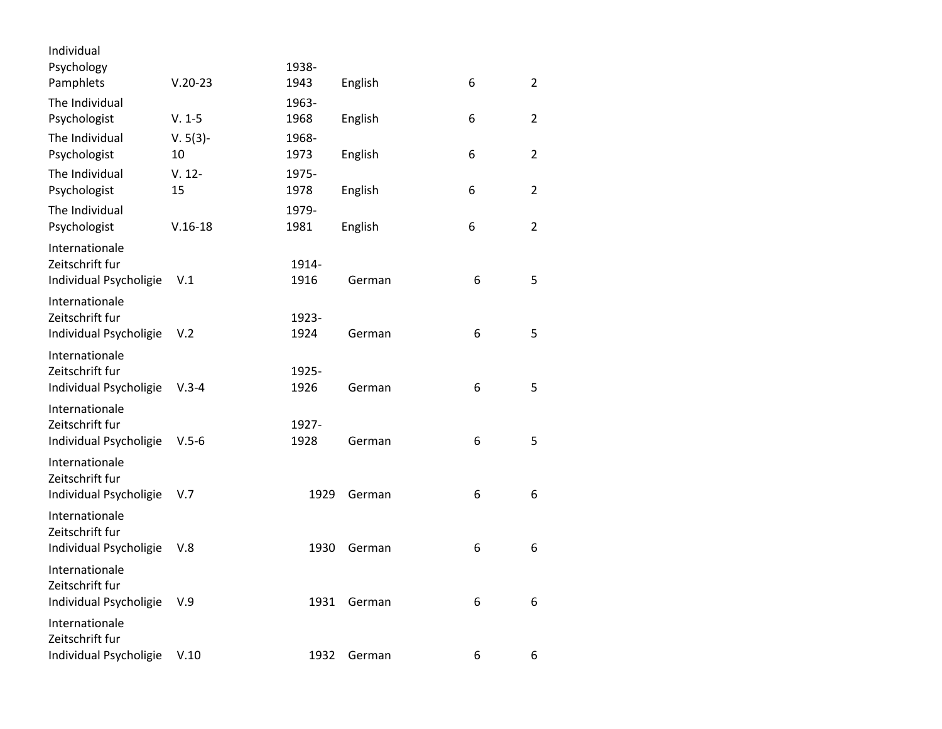| Individual             |            |       |         |   |                |
|------------------------|------------|-------|---------|---|----------------|
| Psychology             |            | 1938- |         |   |                |
| Pamphlets              | $V.20-23$  | 1943  | English | 6 | $\overline{2}$ |
| The Individual         |            | 1963- |         |   |                |
| Psychologist           | $V. 1-5$   | 1968  | English | 6 | $\overline{2}$ |
| The Individual         | $V. 5(3)-$ | 1968- |         |   |                |
| Psychologist           | 10         | 1973  | English | 6 | $\overline{2}$ |
| The Individual         | $V. 12 -$  | 1975- |         |   |                |
| Psychologist           | 15         | 1978  | English | 6 | $\overline{2}$ |
| The Individual         |            | 1979- |         |   |                |
| Psychologist           | $V.16-18$  | 1981  | English | 6 | $\overline{2}$ |
| Internationale         |            |       |         |   |                |
| Zeitschrift fur        |            | 1914- |         |   |                |
| Individual Psycholigie | V.1        | 1916  | German  | 6 | 5              |
| Internationale         |            |       |         |   |                |
| Zeitschrift fur        |            | 1923- |         |   |                |
| Individual Psycholigie | V.2        | 1924  | German  | 6 | 5              |
| Internationale         |            |       |         |   |                |
| Zeitschrift fur        |            | 1925- |         |   |                |
| Individual Psycholigie | $V.3 - 4$  | 1926  | German  | 6 | 5              |
| Internationale         |            |       |         |   |                |
| Zeitschrift fur        |            | 1927- |         |   |                |
| Individual Psycholigie | $V.5 - 6$  | 1928  | German  | 6 | 5              |
| Internationale         |            |       |         |   |                |
| Zeitschrift fur        |            |       |         |   |                |
| Individual Psycholigie | V.7        | 1929  | German  | 6 | 6              |
| Internationale         |            |       |         |   |                |
| Zeitschrift fur        |            |       |         |   |                |
| Individual Psycholigie | V.8        | 1930  | German  | 6 | 6              |
| Internationale         |            |       |         |   |                |
| Zeitschrift fur        |            |       |         |   |                |
| Individual Psycholigie | V.9        | 1931  | German  | 6 | 6              |
| Internationale         |            |       |         |   |                |
| Zeitschrift fur        |            |       |         |   |                |
| Individual Psycholigie | V.10       | 1932  | German  | 6 | 6              |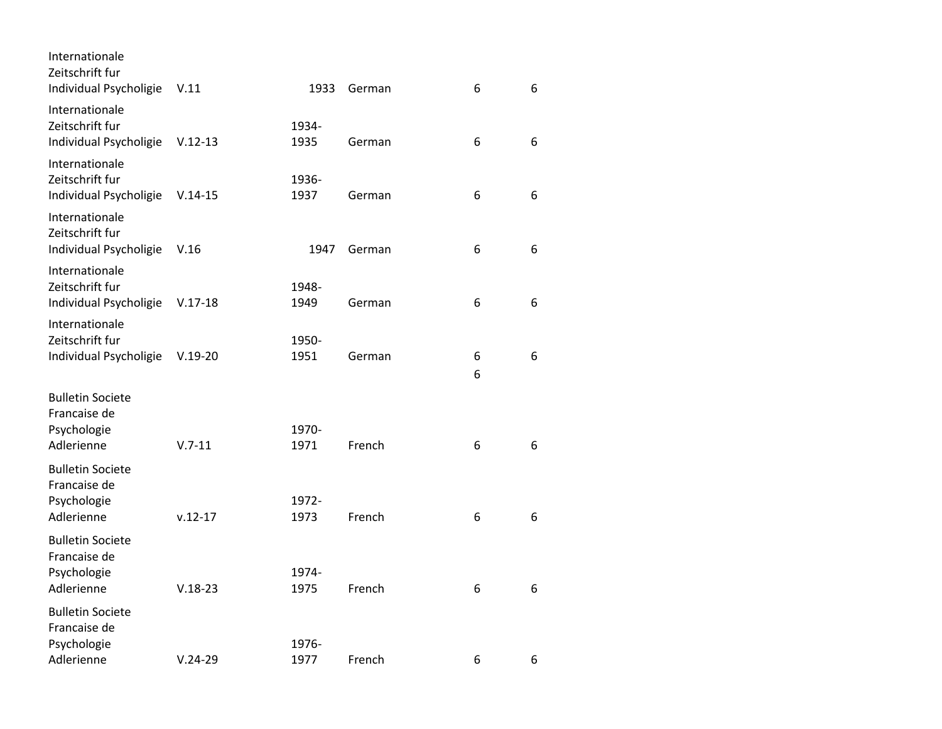| Internationale<br>Zeitschrift fur<br>Individual Psycholigie | V.11        | 1933          | German | 6 | 6 |
|-------------------------------------------------------------|-------------|---------------|--------|---|---|
| Internationale<br>Zeitschrift fur<br>Individual Psycholigie | $V.12-13$   | 1934-<br>1935 | German | 6 | 6 |
| Internationale<br>Zeitschrift fur<br>Individual Psycholigie | $V.14-15$   | 1936-<br>1937 | German | 6 | 6 |
| Internationale<br>Zeitschrift fur<br>Individual Psycholigie | V.16        | 1947          | German | 6 | 6 |
| Internationale<br>Zeitschrift fur<br>Individual Psycholigie | $V.17-18$   | 1948-<br>1949 | German | 6 | 6 |
| Internationale<br>Zeitschrift fur<br>Individual Psycholigie | $V.19-20$   | 1950-<br>1951 | German | 6 | 6 |
| <b>Bulletin Societe</b><br>Francaise de                     |             |               |        | 6 |   |
| Psychologie<br>Adlerienne                                   | $V.7-11$    | 1970-<br>1971 | French | 6 | 6 |
| <b>Bulletin Societe</b><br>Francaise de                     |             |               |        |   |   |
| Psychologie<br>Adlerienne                                   | $v.12 - 17$ | 1972-<br>1973 | French | 6 | 6 |
| <b>Bulletin Societe</b><br>Francaise de                     |             |               |        |   |   |
| Psychologie<br>Adlerienne                                   | $V.18-23$   | 1974-<br>1975 | French | 6 | 6 |
| <b>Bulletin Societe</b><br>Francaise de                     |             |               |        |   |   |
| Psychologie<br>Adlerienne                                   | $V.24-29$   | 1976-<br>1977 | French | 6 | 6 |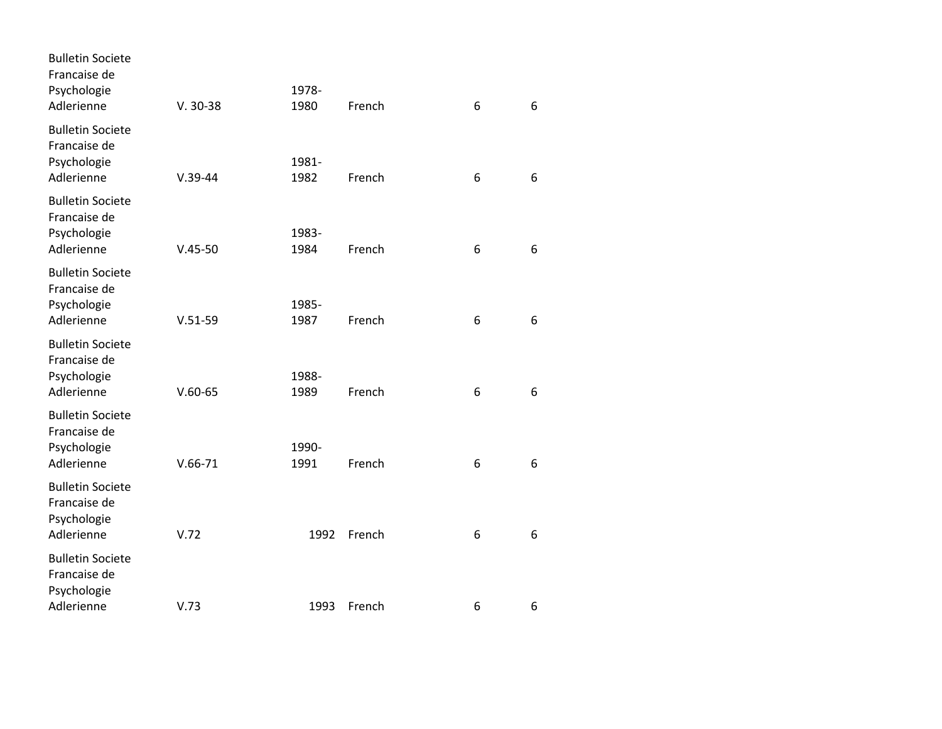| $V. 30-38$  | 1978-<br>1980                                 | French                       | 6                                    | 6                |
|-------------|-----------------------------------------------|------------------------------|--------------------------------------|------------------|
|             | 1981-                                         |                              |                                      | 6                |
|             | 1983-                                         |                              |                                      |                  |
|             |                                               |                              |                                      | 6                |
| $V.51-59$   | 1985-<br>1987                                 | French                       | 6                                    | 6                |
|             | 1988-                                         |                              |                                      |                  |
|             |                                               |                              |                                      | 6                |
| $V.66 - 71$ | 1990-<br>1991                                 | French                       | 6                                    | 6                |
| V.72        | 1992                                          | French                       | 6                                    | 6                |
|             |                                               |                              |                                      | 6                |
|             | $V.39-44$<br>$V.45 - 50$<br>$V.60-65$<br>V.73 | 1982<br>1984<br>1989<br>1993 | French<br>French<br>French<br>French | 6<br>6<br>6<br>6 |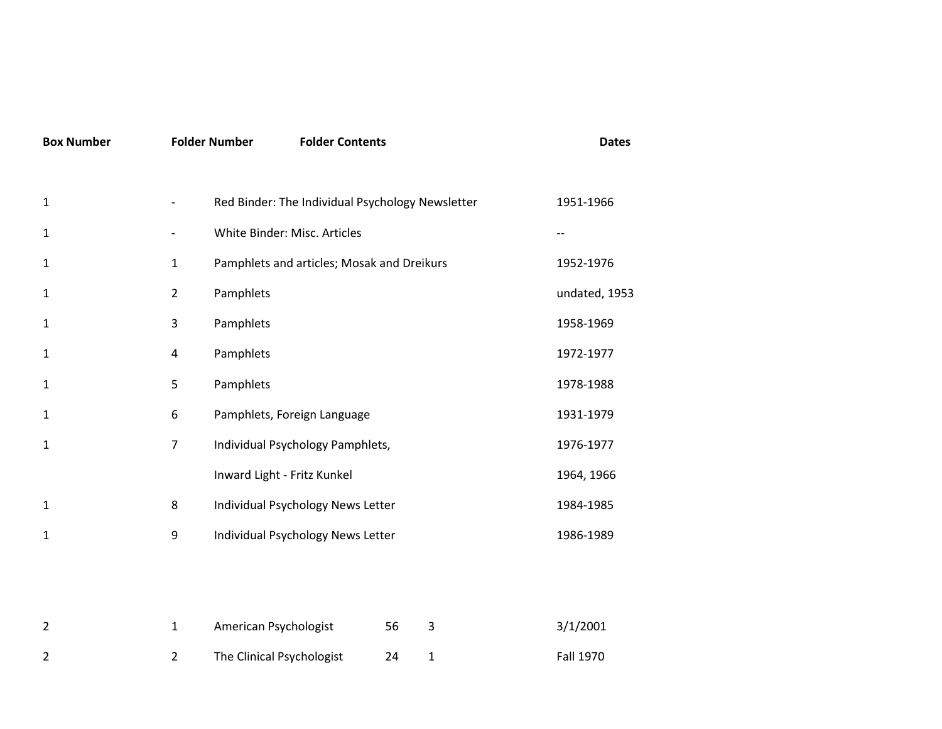| <b>Box Number</b> |                | <b>Folder Number</b><br><b>Folder Contents</b>   |    |             | <b>Dates</b>  |
|-------------------|----------------|--------------------------------------------------|----|-------------|---------------|
| $\mathbf{1}$      |                | Red Binder: The Individual Psychology Newsletter |    |             | 1951-1966     |
| $\mathbf{1}$      |                | White Binder: Misc. Articles                     |    |             |               |
| 1                 | $\mathbf{1}$   | Pamphlets and articles; Mosak and Dreikurs       |    |             | 1952-1976     |
| 1                 | $\overline{2}$ | Pamphlets                                        |    |             | undated, 1953 |
| 1                 | 3              | Pamphlets                                        |    |             | 1958-1969     |
| 1                 | $\overline{4}$ | Pamphlets                                        |    |             | 1972-1977     |
| 1                 | 5              | Pamphlets                                        |    |             | 1978-1988     |
| 1                 | 6              | Pamphlets, Foreign Language                      |    |             | 1931-1979     |
| 1                 | $\overline{7}$ | Individual Psychology Pamphlets,                 |    |             | 1976-1977     |
|                   |                | Inward Light - Fritz Kunkel                      |    |             | 1964, 1966    |
| $\mathbf{1}$      | 8              | Individual Psychology News Letter                |    |             | 1984-1985     |
| 1                 | 9              | Individual Psychology News Letter                |    |             | 1986-1989     |
|                   |                |                                                  |    |             |               |
|                   |                |                                                  |    |             |               |
| $\overline{2}$    | $\mathbf{1}$   | American Psychologist                            | 56 | 3           | 3/1/2001      |
| 2                 | $\overline{2}$ | The Clinical Psychologist                        | 24 | $\mathbf 1$ | Fall 1970     |